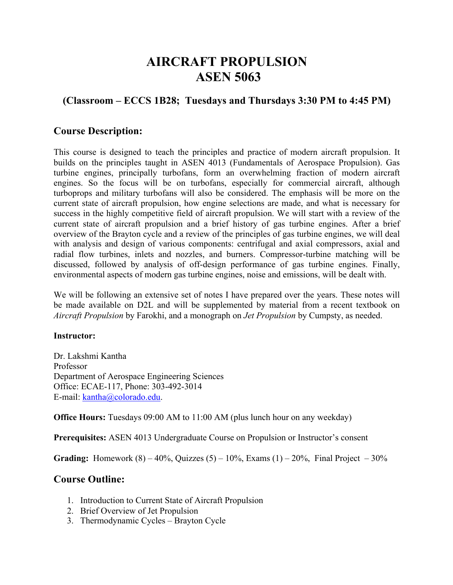# **AIRCRAFT PROPULSION ASEN 5063**

# **(Classroom – ECCS 1B28; Tuesdays and Thursdays 3:30 PM to 4:45 PM)**

## **Course Description:**

This course is designed to teach the principles and practice of modern aircraft propulsion. It builds on the principles taught in ASEN 4013 (Fundamentals of Aerospace Propulsion). Gas turbine engines, principally turbofans, form an overwhelming fraction of modern aircraft engines. So the focus will be on turbofans, especially for commercial aircraft, although turboprops and military turbofans will also be considered. The emphasis will be more on the current state of aircraft propulsion, how engine selections are made, and what is necessary for success in the highly competitive field of aircraft propulsion. We will start with a review of the current state of aircraft propulsion and a brief history of gas turbine engines. After a brief overview of the Brayton cycle and a review of the principles of gas turbine engines, we will deal with analysis and design of various components: centrifugal and axial compressors, axial and radial flow turbines, inlets and nozzles, and burners. Compressor-turbine matching will be discussed, followed by analysis of off-design performance of gas turbine engines. Finally, environmental aspects of modern gas turbine engines, noise and emissions, will be dealt with.

We will be following an extensive set of notes I have prepared over the years. These notes will be made available on D2L and will be supplemented by material from a recent textbook on *Aircraft Propulsion* by Farokhi, and a monograph on *Jet Propulsion* by Cumpsty, as needed.

#### **Instructor:**

Dr. Lakshmi Kantha Professor Department of Aerospace Engineering Sciences Office: ECAE-117, Phone: 303-492-3014 E-mail: kantha@colorado.edu.

**Office Hours:** Tuesdays 09:00 AM to 11:00 AM (plus lunch hour on any weekday)

**Prerequisites:** ASEN 4013 Undergraduate Course on Propulsion or Instructor's consent

**Grading:** Homework  $(8) - 40\%$ , Quizzes  $(5) - 10\%$ , Exams  $(1) - 20\%$ , Final Project  $-30\%$ 

## **Course Outline:**

- 1. Introduction to Current State of Aircraft Propulsion
- 2. Brief Overview of Jet Propulsion
- 3. Thermodynamic Cycles Brayton Cycle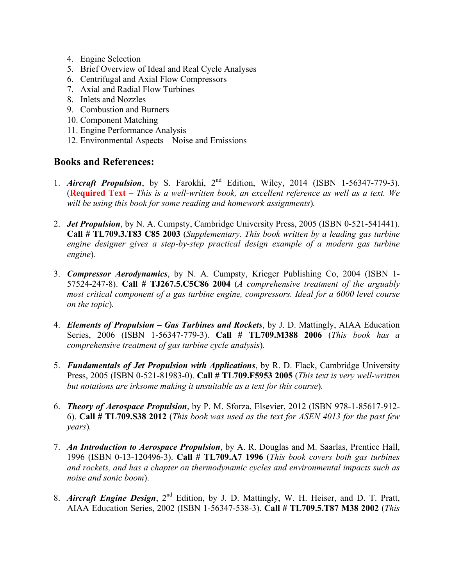- 4. Engine Selection
- 5. Brief Overview of Ideal and Real Cycle Analyses
- 6. Centrifugal and Axial Flow Compressors
- 7. Axial and Radial Flow Turbines
- 8. Inlets and Nozzles
- 9. Combustion and Burners
- 10. Component Matching
- 11. Engine Performance Analysis
- 12. Environmental Aspects Noise and Emissions

## **Books and References:**

- 1. *Aircraft Propulsion*, by S. Farokhi, 2nd Edition, Wiley, 2014 (ISBN 1-56347-779-3). (**Required Text** – *This is a well-written book, an excellent reference as well as a text. We will be using this book for some reading and homework assignments*)*.*
- 2. *Jet Propulsion*, by N. A. Cumpsty, Cambridge University Press, 2005 (ISBN 0-521-541441). **Call # TL709.3.T83 C85 2003** (*Supplementary*. *This book written by a leading gas turbine engine designer gives a step-by-step practical design example of a modern gas turbine engine*)*.*
- 3. *Compressor Aerodynamics*, by N. A. Cumpsty, Krieger Publishing Co, 2004 (ISBN 1- 57524-247-8). **Call # TJ267.5.C5C86 2004** (*A comprehensive treatment of the arguably most critical component of a gas turbine engine, compressors. Ideal for a 6000 level course on the topic*)*.*
- 4. *Elements of Propulsion – Gas Turbines and Rockets*, by J. D. Mattingly, AIAA Education Series, 2006 (ISBN 1-56347-779-3). **Call # TL709.M388 2006** (*This book has a comprehensive treatment of gas turbine cycle analysis*)*.*
- 5. *Fundamentals of Jet Propulsion with Applications*, by R. D. Flack, Cambridge University Press, 2005 (ISBN 0-521-81983-0). **Call # TL709.F5953 2005** (*This text is very well-written but notations are irksome making it unsuitable as a text for this course*)*.*
- 6. *Theory of Aerospace Propulsion*, by P. M. Sforza, Elsevier, 2012 (ISBN 978-1-85617-912- 6). **Call # TL709.S38 2012** (*This book was used as the text for ASEN 4013 for the past few years*)*.*
- 7. *An Introduction to Aerospace Propulsion*, by A. R. Douglas and M. Saarlas, Prentice Hall, 1996 (ISBN 0-13-120496-3). **Call # TL709.A7 1996** (*This book covers both gas turbines and rockets, and has a chapter on thermodynamic cycles and environmental impacts such as noise and sonic boom*).
- 8. *Aircraft Engine Design*, 2<sup>nd</sup> Edition, by J. D. Mattingly, W. H. Heiser, and D. T. Pratt, AIAA Education Series, 2002 (ISBN 1-56347-538-3). **Call # TL709.5.T87 M38 2002** (*This*